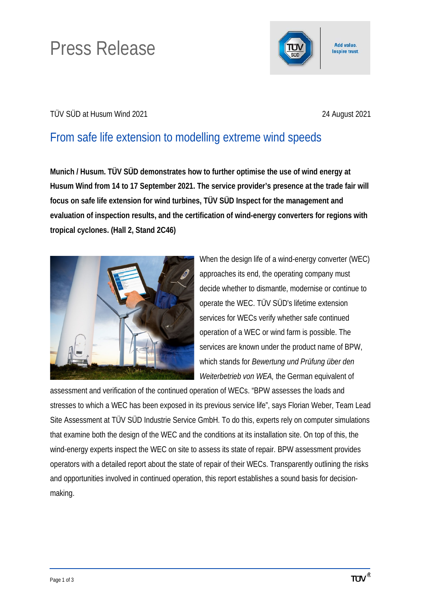# Press Release



## TÜV SÜD at Husum Wind 2021 24 August 2021

# From safe life extension to modelling extreme wind speeds

**Munich / Husum. TÜV SÜD demonstrates how to further optimise the use of wind energy at Husum Wind from 14 to 17 September 2021. The service provider's presence at the trade fair will focus on safe life extension for wind turbines, TÜV SÜD Inspect for the management and evaluation of inspection results, and the certification of wind-energy converters for regions with tropical cyclones. (Hall 2, Stand 2C46)**



When the design life of a wind-energy converter (WEC) approaches its end, the operating company must decide whether to dismantle, modernise or continue to operate the WEC. TÜV SÜD's lifetime extension services for WECs verify whether safe continued operation of a WEC or wind farm is possible. The services are known under the product name of BPW, which stands for *Bewertung und Prüfung über den Weiterbetrieb von WEA,* the German equivalent of

assessment and verification of the continued operation of WECs. "BPW assesses the loads and stresses to which a WEC has been exposed in its previous service life", says Florian Weber, Team Lead Site Assessment at TÜV SÜD Industrie Service GmbH. To do this, experts rely on computer simulations that examine both the design of the WEC and the conditions at its installation site. On top of this, the wind-energy experts inspect the WEC on site to assess its state of repair. BPW assessment provides operators with a detailed report about the state of repair of their WECs. Transparently outlining the risks and opportunities involved in continued operation, this report establishes a sound basis for decisionmaking.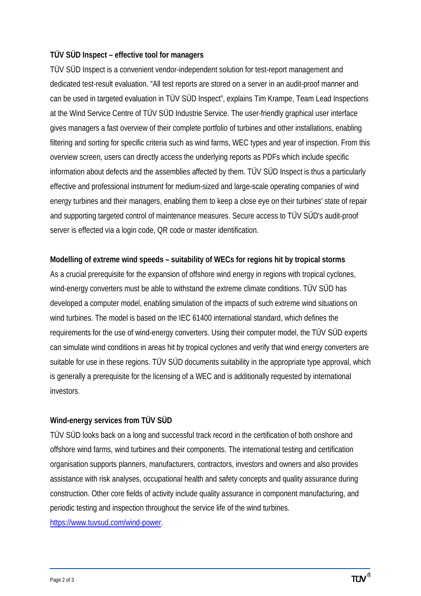## **TÜV SÜD Inspect – effective tool for managers**

TÜV SÜD Inspect is a convenient vendor-independent solution for test-report management and dedicated test-result evaluation. "All test reports are stored on a server in an audit-proof manner and can be used in targeted evaluation in TÜV SÜD Inspect", explains Tim Krampe, Team Lead Inspections at the Wind Service Centre of TÜV SÜD Industrie Service. The user-friendly graphical user interface gives managers a fast overview of their complete portfolio of turbines and other installations, enabling filtering and sorting for specific criteria such as wind farms, WEC types and year of inspection. From this overview screen, users can directly access the underlying reports as PDFs which include specific information about defects and the assemblies affected by them. TÜV SÜD Inspect is thus a particularly effective and professional instrument for medium-sized and large-scale operating companies of wind energy turbines and their managers, enabling them to keep a close eye on their turbines' state of repair and supporting targeted control of maintenance measures. Secure access to TÜV SÜD's audit-proof server is effected via a login code, QR code or master identification.

#### **Modelling of extreme wind speeds – suitability of WECs for regions hit by tropical storms**

As a crucial prerequisite for the expansion of offshore wind energy in regions with tropical cyclones, wind-energy converters must be able to withstand the extreme climate conditions. TÜV SÜD has developed a computer model, enabling simulation of the impacts of such extreme wind situations on wind turbines. The model is based on the IEC 61400 international standard, which defines the requirements for the use of wind-energy converters. Using their computer model, the TÜV SÜD experts can simulate wind conditions in areas hit by tropical cyclones and verify that wind energy converters are suitable for use in these regions. TÜV SÜD documents suitability in the appropriate type approval, which is generally a prerequisite for the licensing of a WEC and is additionally requested by international investors.

## **Wind-energy services from TÜV SÜD**

TÜV SÜD looks back on a long and successful track record in the certification of both onshore and offshore wind farms, wind turbines and their components. The international testing and certification organisation supports planners, manufacturers, contractors, investors and owners and also provides assistance with risk analyses, occupational health and safety concepts and quality assurance during construction. Other core fields of activity include quality assurance in component manufacturing, and periodic testing and inspection throughout the service life of the wind turbines. [https://www.tuvsud.com/wind-power.](https://www.tuvsud.com/wind-power)